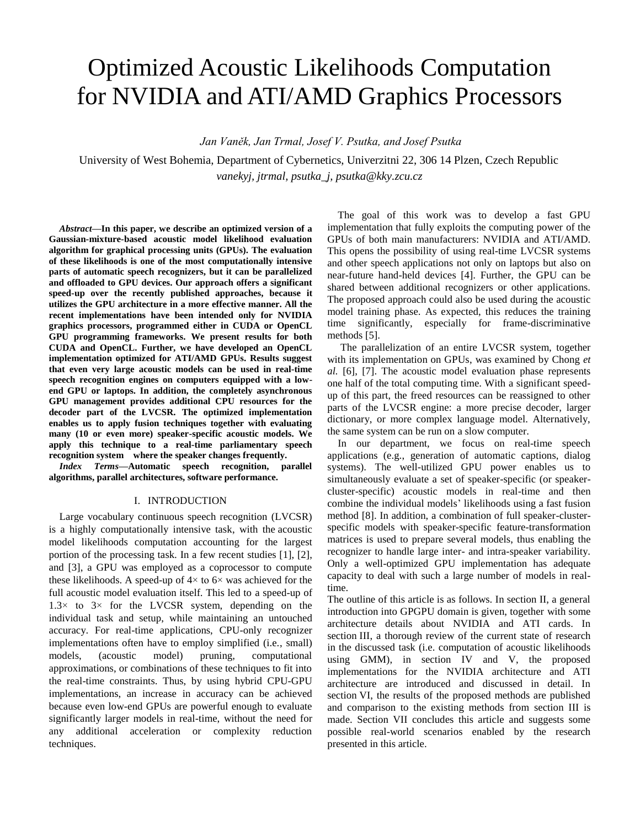# Optimized Acoustic Likelihoods Computation for NVIDIA and ATI/AMD Graphics Processors

*Jan Vaněk, Jan Trmal, Josef V. Psutka, and Josef Psutka*

*vanekyj, jtrmal, psutka\_j, psutka@kky.zcu.cz* University of West Bohemia, Department of Cybernetics, Univerzitni 22, 306 14 Plzen, Czech Republic

*Abstract***—In this paper, we describe an optimized version of a Gaussian-mixture-based acoustic model likelihood evaluation algorithm for graphical processing units (GPUs). The evaluation of these likelihoods is one of the most computationally intensive parts of automatic speech recognizers, but it can be parallelized and offloaded to GPU devices. Our approach offers a significant speed-up over the recently published approaches, because it utilizes the GPU architecture in a more effective manner. All the recent implementations have been intended only for NVIDIA graphics processors, programmed either in CUDA or OpenCL GPU programming frameworks. We present results for both CUDA and OpenCL. Further, we have developed an OpenCL implementation optimized for ATI/AMD GPUs. Results suggest that even very large acoustic models can be used in real-time speech recognition engines on computers equipped with a lowend GPU or laptops. In addition, the completely asynchronous GPU management provides additional CPU resources for the decoder part of the LVCSR. The optimized implementation enables us to apply fusion techniques together with evaluating many (10 or even more) speaker-specific acoustic models. We apply this technique to a real-time parliamentary speech recognition system where the speaker changes frequently.**

*Index Terms***—Automatic speech recognition, parallel algorithms, parallel architectures, software performance.**

#### I. INTRODUCTION

Large vocabulary continuous speech recognition (LVCSR) is a highly computationally intensive task, with the acoustic model likelihoods computation accounting for the largest portion of the processing task. In a few recent studies [1], [2], and [3], a GPU was employed as a coprocessor to compute these likelihoods. A speed-up of  $4 \times$  to  $6 \times$  was achieved for the full acoustic model evaluation itself. This led to a speed-up of  $1.3\times$  to  $3\times$  for the LVCSR system, depending on the individual task and setup, while maintaining an untouched accuracy. For real-time applications, CPU-only recognizer implementations often have to employ simplified (i.e., small) models, (acoustic model) pruning, computational approximations, or combinations of these techniques to fit into the real-time constraints. Thus, by using hybrid CPU-GPU implementations, an increase in accuracy can be achieved because even low-end GPUs are powerful enough to evaluate significantly larger models in real-time, without the need for any additional acceleration or complexity reduction techniques.

The goal of this work was to develop a fast GPU implementation that fully exploits the computing power of the GPUs of both main manufacturers: NVIDIA and ATI/AMD. This opens the possibility of using real-time LVCSR systems and other speech applications not only on laptops but also on near-future hand-held devices [4]. Further, the GPU can be shared between additional recognizers or other applications. The proposed approach could also be used during the acoustic model training phase. As expected, this reduces the training time significantly, especially for frame-discriminative methods [5].

The parallelization of an entire LVCSR system, together with its implementation on GPUs, was examined by Chong *et al.* [6], [7]. The acoustic model evaluation phase represents one half of the total computing time. With a significant speedup of this part, the freed resources can be reassigned to other parts of the LVCSR engine: a more precise decoder, larger dictionary, or more complex language model. Alternatively, the same system can be run on a slow computer.

In our department, we focus on real-time speech applications (e.g., generation of automatic captions, dialog systems). The well-utilized GPU power enables us to simultaneously evaluate a set of speaker-specific (or speakercluster-specific) acoustic models in real-time and then combine the individual models' likelihoods using a fast fusion method [8]. In addition, a combination of full speaker-clusterspecific models with speaker-specific feature-transformation matrices is used to prepare several models, thus enabling the recognizer to handle large inter- and intra-speaker variability. Only a well-optimized GPU implementation has adequate capacity to deal with such a large number of models in realtime.

The outline of this article is as follows. In section II, a general introduction into GPGPU domain is given, together with some architecture details about NVIDIA and ATI cards. In section III, a thorough review of the current state of research in the discussed task (i.e. computation of acoustic likelihoods using GMM), in section IV and V, the proposed implementations for the NVIDIA architecture and ATI architecture are introduced and discussed in detail. In section VI, the results of the proposed methods are published and comparison to the existing methods from section III is made. Section VII concludes this article and suggests some possible real-world scenarios enabled by the research presented in this article.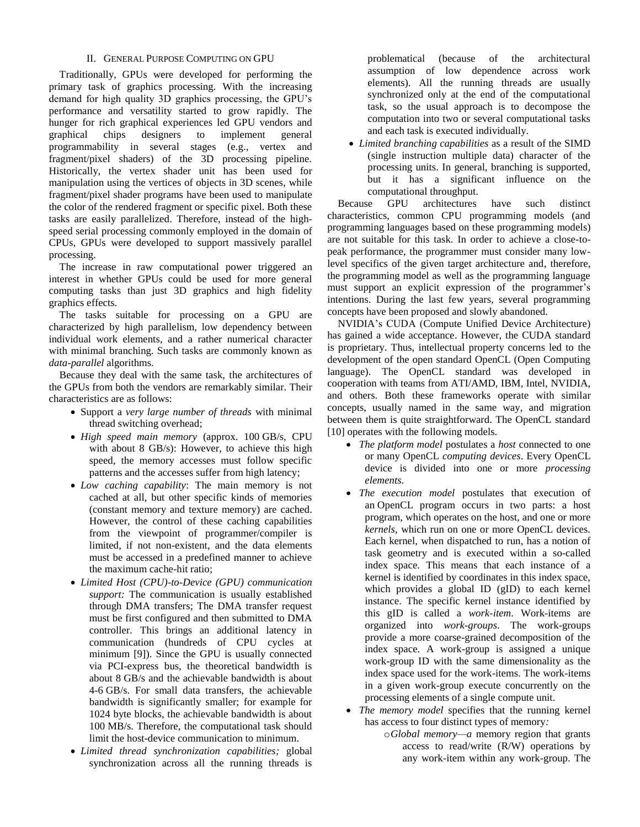# II. GENERAL PURPOSE COMPUTING ON GPU

Traditionally, GPUs were developed for performing the primary task of graphics processing. With the increasing demand for high quality 3D graphics processing, the GPU's performance and versatility started to grow rapidly. The hunger for rich graphical experiences led GPU vendors and graphical chips designers to implement general programmability in several stages (e.g., vertex and fragment/pixel shaders) of the 3D processing pipeline. Historically, the vertex shader unit has been used for manipulation using the vertices of objects in 3D scenes, while fragment/pixel shader programs have been used to manipulate the color of the rendered fragment or specific pixel. Both these tasks are easily parallelized. Therefore, instead of the highspeed serial processing commonly employed in the domain of CPUs, GPUs were developed to support massively parallel processing.

The increase in raw computational power triggered an interest in whether GPUs could be used for more general computing tasks than just 3D graphics and high fidelity graphics effects.

The tasks suitable for processing on a GPU are characterized by high parallelism, low dependency between individual work elements, and a rather numerical character with minimal branching. Such tasks are commonly known as *data-parallel* algorithms.

Because they deal with the same task, the architectures of the GPUs from both the vendors are remarkably similar. Their characteristics are as follows:

- Support a *very large number of threads* with minimal thread switching overhead;
- *High speed main memory* (approx. 100 GB/s, CPU with about 8 GB/s): However, to achieve this high speed, the memory accesses must follow specific patterns and the accesses suffer from high latency;
- *Low caching capability*: The main memory is not cached at all, but other specific kinds of memories (constant memory and texture memory) are cached. However, the control of these caching capabilities from the viewpoint of programmer/compiler is limited, if not non-existent, and the data elements must be accessed in a predefined manner to achieve the maximum cache-hit ratio;
- *Limited Host (CPU)*-*to-Device (GPU) communication support:* The communication is usually established through DMA transfers; The DMA transfer request must be first configured and then submitted to DMA controller. This brings an additional latency in communication (hundreds of CPU cycles at minimum [9]). Since the GPU is usually connected via PCI-express bus, the theoretical bandwidth is about 8 GB/s and the achievable bandwidth is about 4-6 GB/s. For small data transfers, the achievable bandwidth is significantly smaller; for example for 1024 byte blocks, the achievable bandwidth is about 100 MB/s. Therefore, the computational task should limit the host-device communication to minimum.
- *Limited thread synchronization capabilities;* global synchronization across all the running threads is

problematical (because of the architectural assumption of low dependence across work elements). All the running threads are usually synchronized only at the end of the computational task, so the usual approach is to decompose the computation into two or several computational tasks and each task is executed individually.

 *Limited branching capabilities* as a result of the SIMD (single instruction multiple data) character of the processing units. In general, branching is supported, but it has a significant influence on the computational throughput.

Because GPU architectures have such distinct characteristics, common CPU programming models (and programming languages based on these programming models) are not suitable for this task. In order to achieve a close-topeak performance, the programmer must consider many lowlevel specifics of the given target architecture and, therefore, the programming model as well as the programming language must support an explicit expression of the programmer's intentions. During the last few years, several programming concepts have been proposed and slowly abandoned.

NVIDIA's CUDA (Compute Unified Device Architecture) has gained a wide acceptance. However, the CUDA standard is proprietary. Thus, intellectual property concerns led to the development of the open standard OpenCL (Open Computing language). The OpenCL standard was developed in cooperation with teams from ATI/AMD, IBM, Intel, NVIDIA, and others. Both these frameworks operate with similar concepts, usually named in the same way, and migration between them is quite straightforward. The OpenCL standard [10] operates with the following models.

- *The platform model* postulates a *host* connected to one or many OpenCL *computing devices*. Every OpenCL device is divided into one or more *processing elements*.
- *The execution model* postulates that execution of an OpenCL program occurs in two parts: a host program, which operates on the host, and one or more *kernels*, which run on one or more OpenCL devices. Each kernel, when dispatched to run, has a notion of task geometry and is executed within a so-called index space. This means that each instance of a kernel is identified by coordinates in this index space, which provides a global ID (gID) to each kernel instance. The specific kernel instance identified by this gID is called a *work-item*. Work-items are organized into *work-groups*. The work-groups provide a more coarse-grained decomposition of the index space. A work-group is assigned a unique work-group ID with the same dimensionality as the index space used for the work-items. The work-items in a given work-group execute concurrently on the processing elements of a single compute unit.
- *The memory model* specifies that the running kernel has access to four distinct types of memory*:*
	- o*Global memory—a* memory region that grants access to read/write (R/W) operations by any work-item within any work-group. The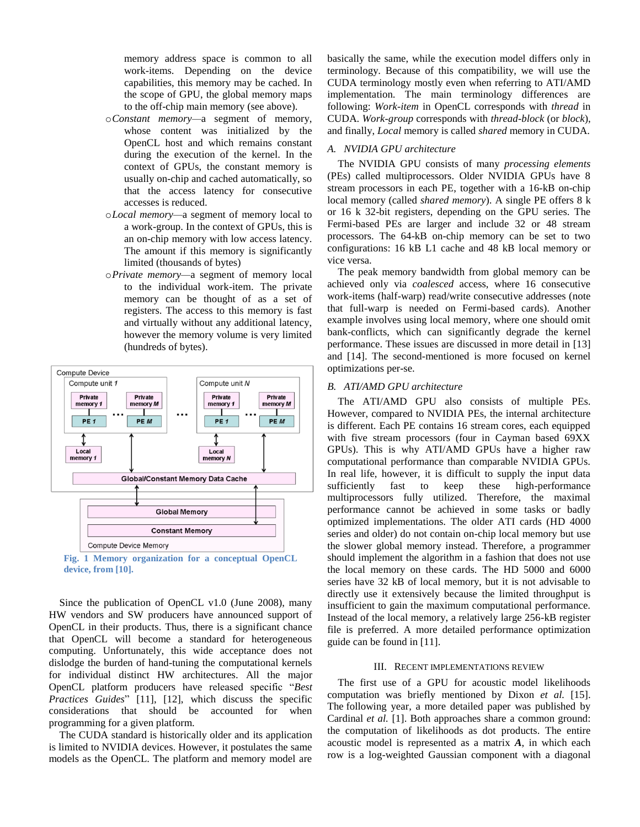memory address space is common to all work-items. Depending on the device capabilities, this memory may be cached. In the scope of GPU, the global memory maps to the off-chip main memory (see above).

- o*Constant memory—*a segment of memory, whose content was initialized by the OpenCL host and which remains constant during the execution of the kernel. In the context of GPUs, the constant memory is usually on-chip and cached automatically, so that the access latency for consecutive accesses is reduced.
- o*Local memory—*a segment of memory local to a work-group. In the context of GPUs, this is an on-chip memory with low access latency. The amount if this memory is significantly limited (thousands of bytes)
- o*Private memory—*a segment of memory local to the individual work-item. The private memory can be thought of as a set of registers. The access to this memory is fast and virtually without any additional latency, however the memory volume is very limited (hundreds of bytes).



**Fig. 1 Memory organization for a conceptual OpenCL device, from [10].**

Since the publication of OpenCL v1.0 (June 2008), many HW vendors and SW producers have announced support of OpenCL in their products. Thus, there is a significant chance that OpenCL will become a standard for heterogeneous computing. Unfortunately, this wide acceptance does not dislodge the burden of hand-tuning the computational kernels for individual distinct HW architectures. All the major OpenCL platform producers have released specific "*Best Practices Guides*" [11], [12], which discuss the specific considerations that should be accounted for when programming for a given platform.

The CUDA standard is historically older and its application is limited to NVIDIA devices. However, it postulates the same models as the OpenCL. The platform and memory model are basically the same, while the execution model differs only in terminology. Because of this compatibility, we will use the CUDA terminology mostly even when referring to ATI/AMD implementation. The main terminology differences are following: *Work-item* in OpenCL corresponds with *thread* in CUDA. *Work-group* corresponds with *thread-block* (or *block*), and finally, *Local* memory is called *shared* memory in CUDA.

# *A. NVIDIA GPU architecture*

The NVIDIA GPU consists of many *processing elements* (PEs) called multiprocessors. Older NVIDIA GPUs have 8 stream processors in each PE, together with a 16-kB on-chip local memory (called *shared memory*). A single PE offers 8 k or 16 k 32-bit registers, depending on the GPU series. The Fermi-based PEs are larger and include 32 or 48 stream processors. The 64-kB on-chip memory can be set to two configurations: 16 kB L1 cache and 48 kB local memory or vice versa.

The peak memory bandwidth from global memory can be achieved only via *coalesced* access, where 16 consecutive work-items (half-warp) read/write consecutive addresses (note that full-warp is needed on Fermi-based cards). Another example involves using local memory, where one should omit bank-conflicts, which can significantly degrade the kernel performance. These issues are discussed in more detail in [13] and [14]. The second-mentioned is more focused on kernel optimizations per-se.

# *B. ATI/AMD GPU architecture*

The ATI/AMD GPU also consists of multiple PEs. However, compared to NVIDIA PEs, the internal architecture is different. Each PE contains 16 stream cores, each equipped with five stream processors (four in Cayman based 69XX GPUs). This is why ATI/AMD GPUs have a higher raw computational performance than comparable NVIDIA GPUs. In real life, however, it is difficult to supply the input data sufficiently fast to keep these high-performance multiprocessors fully utilized. Therefore, the maximal performance cannot be achieved in some tasks or badly optimized implementations. The older ATI cards (HD 4000 series and older) do not contain on-chip local memory but use the slower global memory instead. Therefore, a programmer should implement the algorithm in a fashion that does not use the local memory on these cards. The HD 5000 and 6000 series have 32 kB of local memory, but it is not advisable to directly use it extensively because the limited throughput is insufficient to gain the maximum computational performance. Instead of the local memory, a relatively large 256-kB register file is preferred. A more detailed performance optimization guide can be found in [11].

## III. RECENT IMPLEMENTATIONS REVIEW

The first use of a GPU for acoustic model likelihoods computation was briefly mentioned by Dixon *et al.* [15]. The following year, a more detailed paper was published by Cardinal *et al.* [1]. Both approaches share a common ground: the computation of likelihoods as dot products. The entire acoustic model is represented as a matrix *A*, in which each row is a log-weighted Gaussian component with a diagonal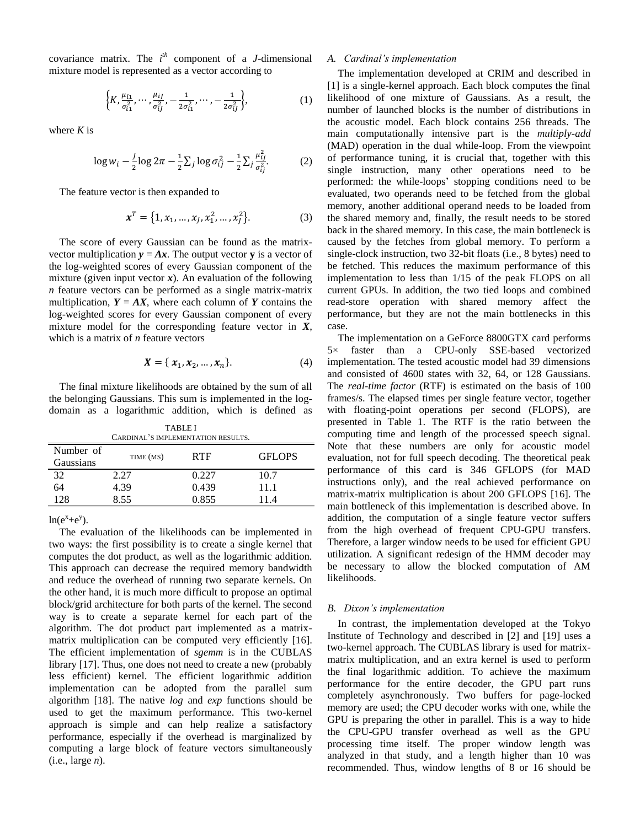covariance matrix. The  $i^{th}$  component of a *J*-dimensional mixture model is represented as a vector according to

$$
\left\{K, \frac{\mu_{i1}}{\sigma_{i1}^2}, \cdots, \frac{\mu_{iJ}}{\sigma_{iJ}^2}, -\frac{1}{2\sigma_{i1}^2}, \cdots, -\frac{1}{2\sigma_{iJ}^2}\right\},\tag{1}
$$

where *K* is

$$
\log w_i - \frac{1}{2} \log 2\pi - \frac{1}{2} \sum_j \log \sigma_{ij}^2 - \frac{1}{2} \sum_j \frac{\mu_{ij}^2}{\sigma_{ij}^2}.
$$
 (2)

The feature vector is then expanded to

$$
\mathbf{x}^T = \{1, x_1, \dots, x_J, x_1^2, \dots, x_J^2\}.
$$
 (3)

The score of every Gaussian can be found as the matrixvector multiplication  $y = Ax$ . The output vector **y** is a vector of the log-weighted scores of every Gaussian component of the mixture (given input vector  $x$ ). An evaluation of the following *n* feature vectors can be performed as a single matrix-matrix multiplication,  $Y = AX$ , where each column of *Y* contains the log-weighted scores for every Gaussian component of every mixture model for the corresponding feature vector in *X*, which is a matrix of *n* feature vectors

$$
X = \{x_1, x_2, ..., x_n\}.
$$
 (4)

The final mixture likelihoods are obtained by the sum of all the belonging Gaussians. This sum is implemented in the logdomain as a logarithmic addition, which is defined as

TABLE I

CARDINAL'S IMPLEMENTATION RESULTS. Number of Gaussians TIME (MS) RTF GFLOPS 32 2.27 0.227 10.7 64 4.39 0.439 11.1 128 8.55 0.855 11.4

 $ln(e^x+e^y)$ .

The evaluation of the likelihoods can be implemented in two ways: the first possibility is to create a single kernel that computes the dot product, as well as the logarithmic addition. This approach can decrease the required memory bandwidth and reduce the overhead of running two separate kernels. On the other hand, it is much more difficult to propose an optimal block/grid architecture for both parts of the kernel. The second way is to create a separate kernel for each part of the algorithm. The dot product part implemented as a matrixmatrix multiplication can be computed very efficiently [16]. The efficient implementation of *sgemm* is in the CUBLAS library [17]. Thus, one does not need to create a new (probably less efficient) kernel. The efficient logarithmic addition implementation can be adopted from the parallel sum algorithm [18]. The native *log* and *exp* functions should be used to get the maximum performance. This two-kernel approach is simple and can help realize a satisfactory performance, especially if the overhead is marginalized by computing a large block of feature vectors simultaneously (i.e., large *n*).

# *A. Cardinal's implementation*

The implementation developed at CRIM and described in [1] is a single-kernel approach. Each block computes the final likelihood of one mixture of Gaussians. As a result, the number of launched blocks is the number of distributions in the acoustic model. Each block contains 256 threads. The main computationally intensive part is the *multiply-add*  (MAD) operation in the dual while-loop. From the viewpoint of performance tuning, it is crucial that, together with this single instruction, many other operations need to be performed: the while-loops' stopping conditions need to be evaluated, two operands need to be fetched from the global memory, another additional operand needs to be loaded from the shared memory and, finally, the result needs to be stored back in the shared memory. In this case, the main bottleneck is caused by the fetches from global memory. To perform a single-clock instruction, two 32-bit floats (i.e., 8 bytes) need to be fetched. This reduces the maximum performance of this implementation to less than 1/15 of the peak FLOPS on all current GPUs. In addition, the two tied loops and combined read-store operation with shared memory affect the performance, but they are not the main bottlenecks in this case.

The implementation on a GeForce 8800GTX card performs 5× faster than a CPU-only SSE-based vectorized implementation. The tested acoustic model had 39 dimensions and consisted of 4600 states with 32, 64, or 128 Gaussians. The *real-time factor* (RTF) is estimated on the basis of 100 frames/s. The elapsed times per single feature vector, together with floating-point operations per second (FLOPS), are presented in Table 1. The RTF is the ratio between the computing time and length of the processed speech signal. Note that these numbers are only for acoustic model evaluation, not for full speech decoding. The theoretical peak performance of this card is 346 GFLOPS (for MAD instructions only), and the real achieved performance on matrix-matrix multiplication is about 200 GFLOPS [16]. The main bottleneck of this implementation is described above. In addition, the computation of a single feature vector suffers from the high overhead of frequent CPU-GPU transfers. Therefore, a larger window needs to be used for efficient GPU utilization. A significant redesign of the HMM decoder may be necessary to allow the blocked computation of AM likelihoods.

## *B. Dixon's implementation*

In contrast, the implementation developed at the Tokyo Institute of Technology and described in [2] and [19] uses a two-kernel approach. The CUBLAS library is used for matrixmatrix multiplication, and an extra kernel is used to perform the final logarithmic addition. To achieve the maximum performance for the entire decoder, the GPU part runs completely asynchronously. Two buffers for page-locked memory are used; the CPU decoder works with one, while the GPU is preparing the other in parallel. This is a way to hide the CPU-GPU transfer overhead as well as the GPU processing time itself. The proper window length was analyzed in that study, and a length higher than 10 was recommended. Thus, window lengths of 8 or 16 should be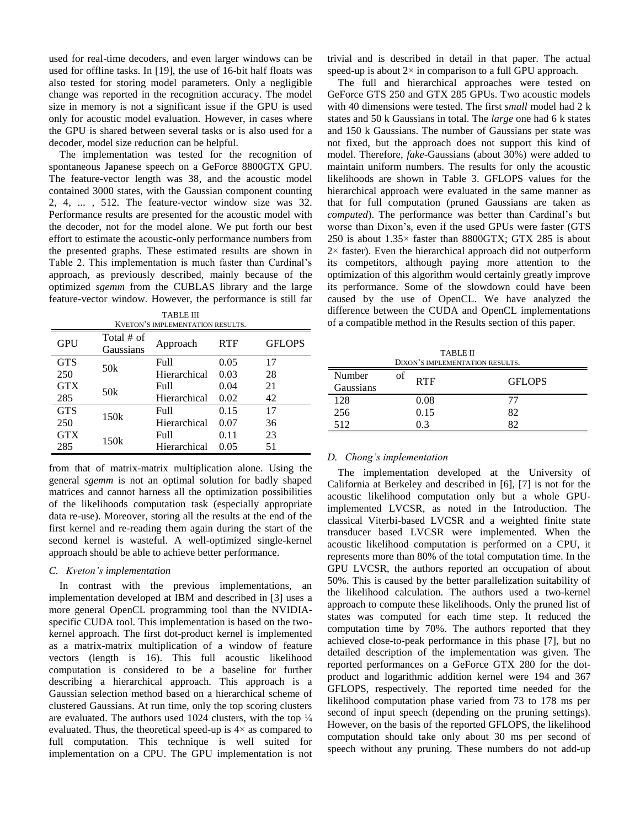used for real-time decoders, and even larger windows can be used for offline tasks. In [19], the use of 16-bit half floats was also tested for storing model parameters. Only a negligible change was reported in the recognition accuracy. The model size in memory is not a significant issue if the GPU is used only for acoustic model evaluation. However, in cases where the GPU is shared between several tasks or is also used for a decoder, model size reduction can be helpful.

The implementation was tested for the recognition of spontaneous Japanese speech on a GeForce 8800GTX GPU. The feature-vector length was 38, and the acoustic model contained 3000 states, with the Gaussian component counting 2, 4, ... , 512. The feature-vector window size was 32. Performance results are presented for the acoustic model with the decoder, not for the model alone. We put forth our best effort to estimate the acoustic-only performance numbers from the presented graphs. These estimated results are shown in Table 2. This implementation is much faster than Cardinal's approach, as previously described, mainly because of the optimized *sgemm* from the CUBLAS library and the large feature-vector window. However, the performance is still far

| <b>TABLE III</b> |  |                                           |  |  |  |
|------------------|--|-------------------------------------------|--|--|--|
|                  |  | <b>KVETON'S IMPI EMENTATION RESIII TS</b> |  |  |  |

| <b>GPU</b> | Total # of<br>Gaussians | Approach     | <b>RTF</b> | <b>GFLOPS</b> |  |
|------------|-------------------------|--------------|------------|---------------|--|
| <b>GTS</b> | 50 <sub>k</sub>         | Full         | 0.05       | 17            |  |
| 250        |                         | Hierarchical | 0.03       | 28            |  |
| <b>GTX</b> | 50 <sub>k</sub>         | Full         | 0.04       | 21            |  |
| 285        |                         | Hierarchical | 0.02       | 42            |  |
| <b>GTS</b> | 150k                    | Full         | 0.15       | 17            |  |
| 250        |                         | Hierarchical | 0.07       | 36            |  |
| <b>GTX</b> | 150k                    | Full         | 0.11       | 23            |  |
| 285        |                         | Hierarchical | 0.05       | 51            |  |

from that of matrix-matrix multiplication alone. Using the general *sgemm* is not an optimal solution for badly shaped matrices and cannot harness all the optimization possibilities of the likelihoods computation task (especially appropriate data re-use). Moreover, storing all the results at the end of the first kernel and re-reading them again during the start of the second kernel is wasteful. A well-optimized single-kernel approach should be able to achieve better performance.

#### *C. Kveton's implementation*

In contrast with the previous implementations, an implementation developed at IBM and described in [3] uses a more general OpenCL programming tool than the NVIDIAspecific CUDA tool. This implementation is based on the twokernel approach. The first dot-product kernel is implemented as a matrix-matrix multiplication of a window of feature vectors (length is 16). This full acoustic likelihood computation is considered to be a baseline for further describing a hierarchical approach. This approach is a Gaussian selection method based on a hierarchical scheme of clustered Gaussians. At run time, only the top scoring clusters are evaluated. The authors used 1024 clusters, with the top  $\frac{1}{4}$ evaluated. Thus, the theoretical speed-up is  $4\times$  as compared to full computation. This technique is well suited for implementation on a CPU. The GPU implementation is not trivial and is described in detail in that paper. The actual speed-up is about  $2 \times$  in comparison to a full GPU approach.

The full and hierarchical approaches were tested on GeForce GTS 250 and GTX 285 GPUs. Two acoustic models with 40 dimensions were tested. The first *small* model had 2 k states and 50 k Gaussians in total. The *large* one had 6 k states and 150 k Gaussians. The number of Gaussians per state was not fixed, but the approach does not support this kind of model. Therefore, *fake*-Gaussians (about 30%) were added to maintain uniform numbers. The results for only the acoustic likelihoods are shown in Table 3. GFLOPS values for the hierarchical approach were evaluated in the same manner as that for full computation (pruned Gaussians are taken as *computed*). The performance was better than Cardinal's but worse than Dixon's, even if the used GPUs were faster (GTS 250 is about 1.35× faster than 8800GTX; GTX 285 is about  $2 \times$  faster). Even the hierarchical approach did not outperform its competitors, although paying more attention to the optimization of this algorithm would certainly greatly improve its performance. Some of the slowdown could have been caused by the use of OpenCL. We have analyzed the difference between the CUDA and OpenCL implementations of a compatible method in the Results section of this paper.

| <b>TABLE II</b><br>DIXON'S IMPLEMENTATION RESULTS. |                  |               |  |  |
|----------------------------------------------------|------------------|---------------|--|--|
| Number<br>Gaussians                                | of<br><b>RTF</b> | <b>GFLOPS</b> |  |  |
| 128                                                | 0.08             | 77            |  |  |
| 256                                                | 0.15             | 82            |  |  |
| 512                                                | 0 3              | 80            |  |  |

# *D. Chong's implementation*

The implementation developed at the University of California at Berkeley and described in [6], [7] is not for the acoustic likelihood computation only but a whole GPUimplemented LVCSR, as noted in the Introduction. The classical Viterbi-based LVCSR and a weighted finite state transducer based LVCSR were implemented. When the acoustic likelihood computation is performed on a CPU, it represents more than 80% of the total computation time. In the GPU LVCSR, the authors reported an occupation of about 50%. This is caused by the better parallelization suitability of the likelihood calculation. The authors used a two-kernel approach to compute these likelihoods. Only the pruned list of states was computed for each time step. It reduced the computation time by 70%. The authors reported that they achieved close-to-peak performance in this phase [7], but no detailed description of the implementation was given. The reported performances on a GeForce GTX 280 for the dotproduct and logarithmic addition kernel were 194 and 367 GFLOPS, respectively. The reported time needed for the likelihood computation phase varied from 73 to 178 ms per second of input speech (depending on the pruning settings). However, on the basis of the reported GFLOPS, the likelihood computation should take only about 30 ms per second of speech without any pruning. These numbers do not add-up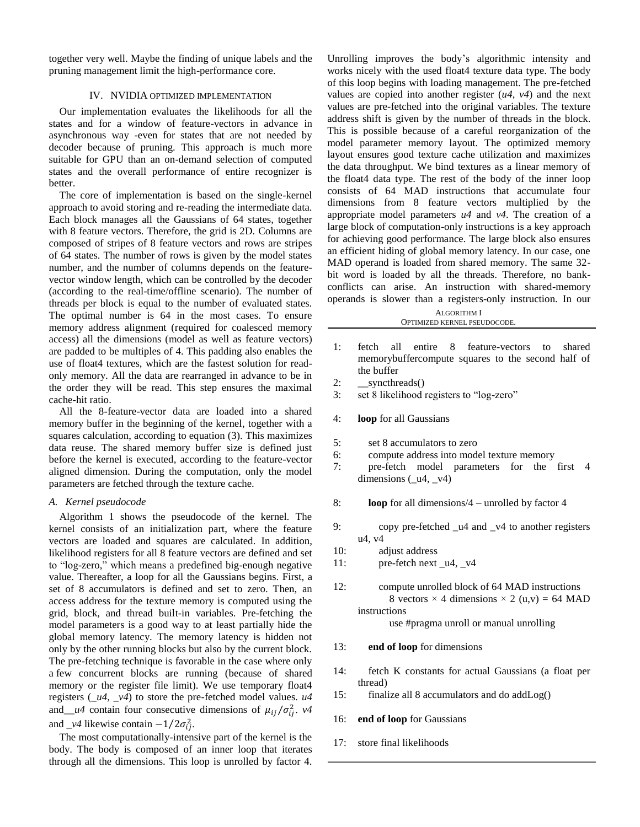together very well. Maybe the finding of unique labels and the pruning management limit the high-performance core.

#### IV. NVIDIA OPTIMIZED IMPLEMENTATION

Our implementation evaluates the likelihoods for all the states and for a window of feature-vectors in advance in asynchronous way -even for states that are not needed by decoder because of pruning. This approach is much more suitable for GPU than an on-demand selection of computed states and the overall performance of entire recognizer is better.

The core of implementation is based on the single-kernel approach to avoid storing and re-reading the intermediate data. Each block manages all the Gaussians of 64 states, together with 8 feature vectors. Therefore, the grid is 2D. Columns are composed of stripes of 8 feature vectors and rows are stripes of 64 states. The number of rows is given by the model states number, and the number of columns depends on the featurevector window length, which can be controlled by the decoder (according to the real-time/offline scenario). The number of threads per block is equal to the number of evaluated states. The optimal number is 64 in the most cases. To ensure memory address alignment (required for coalesced memory access) all the dimensions (model as well as feature vectors) are padded to be multiples of 4. This padding also enables the use of float4 textures, which are the fastest solution for readonly memory. All the data are rearranged in advance to be in the order they will be read. This step ensures the maximal cache-hit ratio.

All the 8-feature-vector data are loaded into a shared memory buffer in the beginning of the kernel, together with a squares calculation, according to equation (3). This maximizes data reuse. The shared memory buffer size is defined just before the kernel is executed, according to the feature-vector aligned dimension. During the computation, only the model parameters are fetched through the texture cache.

#### *A. Kernel pseudocode*

Algorithm 1 shows the pseudocode of the kernel. The kernel consists of an initialization part, where the feature vectors are loaded and squares are calculated. In addition, likelihood registers for all 8 feature vectors are defined and set to "log-zero," which means a predefined big-enough negative value. Thereafter, a loop for all the Gaussians begins. First, a set of 8 accumulators is defined and set to zero. Then, an access address for the texture memory is computed using the grid, block, and thread built-in variables. Pre-fetching the model parameters is a good way to at least partially hide the global memory latency. The memory latency is hidden not only by the other running blocks but also by the current block. The pre-fetching technique is favorable in the case where only a few concurrent blocks are running (because of shared memory or the register file limit). We use temporary float4 registers (*\_u4*, *\_v4*) to store the pre-fetched model values. *u4* and  $\mu/4$  contain four consecutive dimensions of  $\mu_{ii}/\sigma_{ii}^2$ ,  $\nu$ 4 and  $\mu$ 4 likewise contain  $-1/2\sigma_{ii}^2$ .

The most computationally-intensive part of the kernel is the body. The body is composed of an inner loop that iterates through all the dimensions. This loop is unrolled by factor 4.

Unrolling improves the body's algorithmic intensity and works nicely with the used float4 texture data type. The body of this loop begins with loading management. The pre-fetched values are copied into another register (*u4*, *v4*) and the next values are pre-fetched into the original variables. The texture address shift is given by the number of threads in the block. This is possible because of a careful reorganization of the model parameter memory layout. The optimized memory layout ensures good texture cache utilization and maximizes the data throughput. We bind textures as a linear memory of the float4 data type. The rest of the body of the inner loop consists of 64 MAD instructions that accumulate four dimensions from 8 feature vectors multiplied by the appropriate model parameters *u4* and *v4*. The creation of a large block of computation-only instructions is a key approach for achieving good performance. The large block also ensures an efficient hiding of global memory latency. In our case, one MAD operand is loaded from shared memory. The same 32 bit word is loaded by all the threads. Therefore, no bankconflicts can arise. An instruction with shared-memory operands is slower than a registers-only instruction. In our

#### ALGORITHM I OPTIMIZED KERNEL PSEUDOCODE.

- 1: fetch all entire 8 feature-vectors to shared memorybuffercompute squares to the second half of the buffer
- 2: syncthreads()
- 3: set 8 likelihood registers to "log-zero"
- 4: **loop** for all Gaussians
- 5: set 8 accumulators to zero
- 6: compute address into model texture memory
- 7: pre-fetch model parameters for the first 4 dimensions  $( u4, v4)$
- 8: **loop** for all dimensions/4 unrolled by factor 4
- 9: copy pre-fetched \_u4 and \_v4 to another registers u4, v4
- 10: adjust address
- 11: pre-fetch next \_u4, \_v4
- 12: compute unrolled block of 64 MAD instructions 8 vectors  $\times$  4 dimensions  $\times$  2 (u,v) = 64 MAD instructions

use #pragma unroll or manual unrolling

- 13: **end of loop** for dimensions
- 14: fetch K constants for actual Gaussians (a float per thread)
- 15: finalize all 8 accumulators and do addLog()
- 16: **end of loop** for Gaussians
- 17: store final likelihoods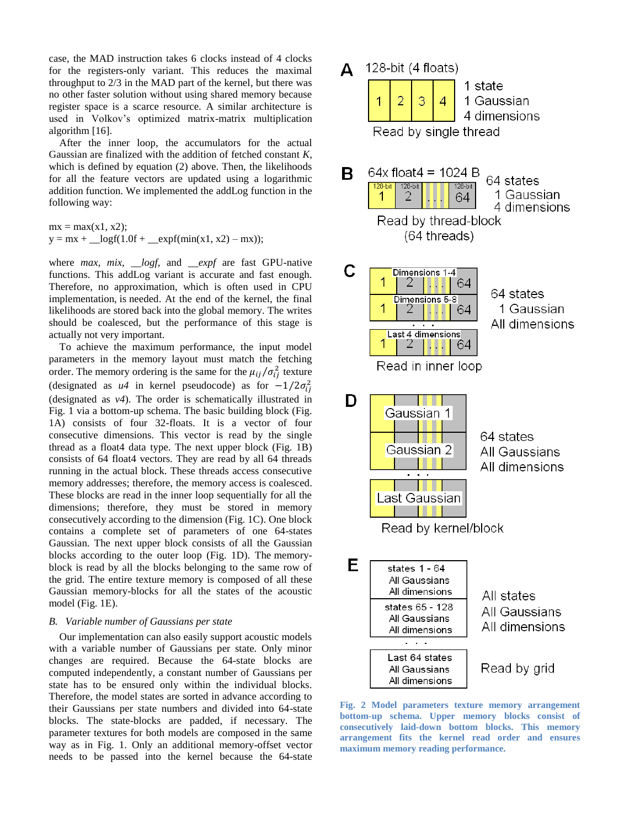case, the MAD instruction takes 6 clocks instead of 4 clocks for the registers-only variant. This reduces the maximal throughput to 2/3 in the MAD part of the kernel, but there was no other faster solution without using shared memory because register space is a scarce resource. A similar architecture is used in Volkov's optimized matrix-matrix multiplication algorithm [16].

After the inner loop, the accumulators for the actual Gaussian are finalized with the addition of fetched constant *K*, which is defined by equation (2) above. Then, the likelihoods for all the feature vectors are updated using a logarithmic addition function. We implemented the addLog function in the following way:

 $mx = max(x1, x2);$  $y = mx + \_\text{log}f(1.0f + \_\text{exp}f(\text{min}(x1, x2) - \text{mx}));$ 

where *max*, *mix, \_\_logf,* and *\_\_expf* are fast GPU-native functions. This addLog variant is accurate and fast enough. Therefore, no approximation, which is often used in CPU implementation, is needed. At the end of the kernel, the final likelihoods are stored back into the global memory. The writes should be coalesced, but the performance of this stage is actually not very important.

To achieve the maximum performance, the input model parameters in the memory layout must match the fetching order. The memory ordering is the same for the  $\mu_{ij}/\sigma_{ij}^2$  texture (designated as  $u4$  in kernel pseudocode) as for  $-1/2\sigma_{ii}^2$ (designated as *v4*). The order is schematically illustrated in Fig. 1 via a bottom-up schema. The basic building block (Fig. 1A) consists of four 32-floats. It is a vector of four consecutive dimensions. This vector is read by the single thread as a float4 data type. The next upper block (Fig. 1B) consists of 64 float4 vectors. They are read by all 64 threads running in the actual block. These threads access consecutive memory addresses; therefore, the memory access is coalesced. These blocks are read in the inner loop sequentially for all the dimensions; therefore, they must be stored in memory consecutively according to the dimension (Fig. 1C). One block contains a complete set of parameters of one 64-states Gaussian. The next upper block consists of all the Gaussian blocks according to the outer loop (Fig. 1D). The memoryblock is read by all the blocks belonging to the same row of the grid. The entire texture memory is composed of all these Gaussian memory-blocks for all the states of the acoustic model (Fig. 1E).

## *B. Variable number of Gaussians per state*

Our implementation can also easily support acoustic models with a variable number of Gaussians per state. Only minor changes are required. Because the 64-state blocks are computed independently, a constant number of Gaussians per state has to be ensured only within the individual blocks. Therefore, the model states are sorted in advance according to their Gaussians per state numbers and divided into 64-state blocks. The state-blocks are padded, if necessary. The parameter textures for both models are composed in the same way as in Fig. 1. Only an additional memory-offset vector needs to be passed into the kernel because the 64-state



**Fig. 2 Model parameters texture memory arrangement bottom-up schema. Upper memory blocks consist of consecutively laid-down bottom blocks. This memory arrangement fits the kernel read order and ensures maximum memory reading performance.**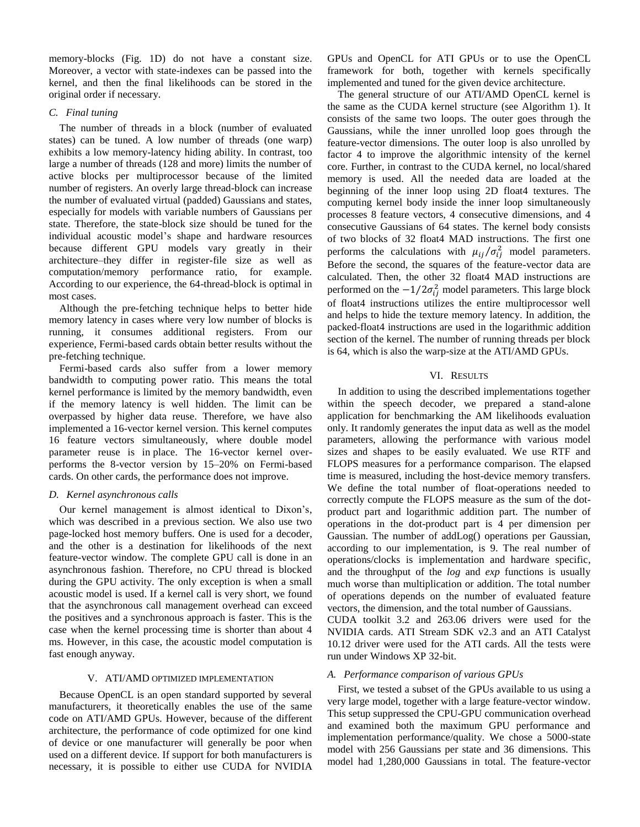memory-blocks (Fig. 1D) do not have a constant size. Moreover, a vector with state-indexes can be passed into the kernel, and then the final likelihoods can be stored in the original order if necessary.

## *C. Final tuning*

The number of threads in a block (number of evaluated states) can be tuned. A low number of threads (one warp) exhibits a low memory-latency hiding ability. In contrast, too large a number of threads (128 and more) limits the number of active blocks per multiprocessor because of the limited number of registers. An overly large thread-block can increase the number of evaluated virtual (padded) Gaussians and states, especially for models with variable numbers of Gaussians per state. Therefore, the state-block size should be tuned for the individual acoustic model's shape and hardware resources because different GPU models vary greatly in their architecture–they differ in register-file size as well as computation/memory performance ratio, for example. According to our experience, the 64-thread-block is optimal in most cases.

Although the pre-fetching technique helps to better hide memory latency in cases where very low number of blocks is running, it consumes additional registers. From our experience, Fermi-based cards obtain better results without the pre-fetching technique.

Fermi-based cards also suffer from a lower memory bandwidth to computing power ratio. This means the total kernel performance is limited by the memory bandwidth, even if the memory latency is well hidden. The limit can be overpassed by higher data reuse. Therefore, we have also implemented a 16-vector kernel version. This kernel computes 16 feature vectors simultaneously, where double model parameter reuse is in place. The 16-vector kernel overperforms the 8-vector version by 15–20% on Fermi-based cards. On other cards, the performance does not improve.

# *D. Kernel asynchronous calls*

Our kernel management is almost identical to Dixon's, which was described in a previous section. We also use two page-locked host memory buffers. One is used for a decoder, and the other is a destination for likelihoods of the next feature-vector window. The complete GPU call is done in an asynchronous fashion. Therefore, no CPU thread is blocked during the GPU activity. The only exception is when a small acoustic model is used. If a kernel call is very short, we found that the asynchronous call management overhead can exceed the positives and a synchronous approach is faster. This is the case when the kernel processing time is shorter than about 4 ms. However, in this case, the acoustic model computation is fast enough anyway.

#### V. ATI/AMD OPTIMIZED IMPLEMENTATION

Because OpenCL is an open standard supported by several manufacturers, it theoretically enables the use of the same code on ATI/AMD GPUs. However, because of the different architecture, the performance of code optimized for one kind of device or one manufacturer will generally be poor when used on a different device. If support for both manufacturers is necessary, it is possible to either use CUDA for NVIDIA

GPUs and OpenCL for ATI GPUs or to use the OpenCL framework for both, together with kernels specifically implemented and tuned for the given device architecture.

The general structure of our ATI/AMD OpenCL kernel is the same as the CUDA kernel structure (see Algorithm 1). It consists of the same two loops. The outer goes through the Gaussians, while the inner unrolled loop goes through the feature-vector dimensions. The outer loop is also unrolled by factor 4 to improve the algorithmic intensity of the kernel core. Further, in contrast to the CUDA kernel, no local/shared memory is used. All the needed data are loaded at the beginning of the inner loop using 2D float4 textures. The computing kernel body inside the inner loop simultaneously processes 8 feature vectors, 4 consecutive dimensions, and 4 consecutive Gaussians of 64 states. The kernel body consists of two blocks of 32 float4 MAD instructions. The first one performs the calculations with  $\mu_{ij}/\sigma_{ij}^2$  model parameters. Before the second, the squares of the feature-vector data are calculated. Then, the other 32 float4 MAD instructions are performed on the  $-1/2\sigma_{ii}^2$  model parameters. This large block of float4 instructions utilizes the entire multiprocessor well and helps to hide the texture memory latency. In addition, the packed-float4 instructions are used in the logarithmic addition section of the kernel. The number of running threads per block is 64, which is also the warp-size at the ATI/AMD GPUs.

#### VI. RESULTS

In addition to using the described implementations together within the speech decoder, we prepared a stand-alone application for benchmarking the AM likelihoods evaluation only. It randomly generates the input data as well as the model parameters, allowing the performance with various model sizes and shapes to be easily evaluated. We use RTF and FLOPS measures for a performance comparison. The elapsed time is measured, including the host-device memory transfers. We define the total number of float-operations needed to correctly compute the FLOPS measure as the sum of the dotproduct part and logarithmic addition part. The number of operations in the dot-product part is 4 per dimension per Gaussian. The number of addLog() operations per Gaussian, according to our implementation, is 9. The real number of operations/clocks is implementation and hardware specific, and the throughput of the *log* and *exp* functions is usually much worse than multiplication or addition. The total number of operations depends on the number of evaluated feature vectors, the dimension, and the total number of Gaussians.

CUDA toolkit 3.2 and 263.06 drivers were used for the NVIDIA cards. ATI Stream SDK v2.3 and an ATI Catalyst 10.12 driver were used for the ATI cards. All the tests were run under Windows XP 32-bit.

# *A. Performance comparison of various GPUs*

First, we tested a subset of the GPUs available to us using a very large model, together with a large feature-vector window. This setup suppressed the CPU-GPU communication overhead and examined both the maximum GPU performance and implementation performance/quality. We chose a 5000-state model with 256 Gaussians per state and 36 dimensions. This model had 1,280,000 Gaussians in total. The feature-vector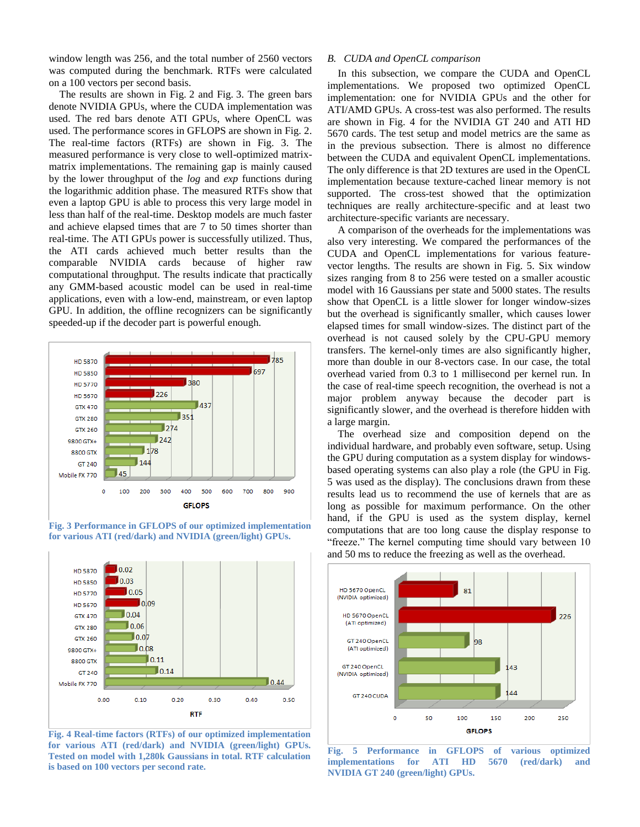window length was 256, and the total number of 2560 vectors was computed during the benchmark. RTFs were calculated on a 100 vectors per second basis.

The results are shown in Fig. 2 and Fig. 3. The green bars denote NVIDIA GPUs, where the CUDA implementation was used. The red bars denote ATI GPUs, where OpenCL was used. The performance scores in GFLOPS are shown in Fig. 2. The real-time factors (RTFs) are shown in Fig. 3. The measured performance is very close to well-optimized matrixmatrix implementations. The remaining gap is mainly caused by the lower throughput of the *log* and *exp* functions during the logarithmic addition phase. The measured RTFs show that even a laptop GPU is able to process this very large model in less than half of the real-time. Desktop models are much faster and achieve elapsed times that are 7 to 50 times shorter than real-time. The ATI GPUs power is successfully utilized. Thus, the ATI cards achieved much better results than the comparable NVIDIA cards because of higher raw computational throughput. The results indicate that practically any GMM-based acoustic model can be used in real-time applications, even with a low-end, mainstream, or even laptop GPU. In addition, the offline recognizers can be significantly speeded-up if the decoder part is powerful enough.



**Fig. 3 Performance in GFLOPS of our optimized implementation for various ATI (red/dark) and NVIDIA (green/light) GPUs.**



**Fig. 4 Real-time factors (RTFs) of our optimized implementation for various ATI (red/dark) and NVIDIA (green/light) GPUs. Tested on model with 1,280k Gaussians in total. RTF calculation is based on 100 vectors per second rate.**

## *B. CUDA and OpenCL comparison*

In this subsection, we compare the CUDA and OpenCL implementations. We proposed two optimized OpenCL implementation: one for NVIDIA GPUs and the other for ATI/AMD GPUs. A cross-test was also performed. The results are shown in Fig. 4 for the NVIDIA GT 240 and ATI HD 5670 cards. The test setup and model metrics are the same as in the previous subsection. There is almost no difference between the CUDA and equivalent OpenCL implementations. The only difference is that 2D textures are used in the OpenCL implementation because texture-cached linear memory is not supported. The cross-test showed that the optimization techniques are really architecture-specific and at least two architecture-specific variants are necessary.

A comparison of the overheads for the implementations was also very interesting. We compared the performances of the CUDA and OpenCL implementations for various featurevector lengths. The results are shown in Fig. 5. Six window sizes ranging from 8 to 256 were tested on a smaller acoustic model with 16 Gaussians per state and 5000 states. The results show that OpenCL is a little slower for longer window-sizes but the overhead is significantly smaller, which causes lower elapsed times for small window-sizes. The distinct part of the overhead is not caused solely by the CPU-GPU memory transfers. The kernel-only times are also significantly higher, more than double in our 8-vectors case. In our case, the total overhead varied from 0.3 to 1 millisecond per kernel run. In the case of real-time speech recognition, the overhead is not a major problem anyway because the decoder part is significantly slower, and the overhead is therefore hidden with a large margin.

The overhead size and composition depend on the individual hardware, and probably even software, setup. Using the GPU during computation as a system display for windowsbased operating systems can also play a role (the GPU in Fig. 5 was used as the display). The conclusions drawn from these results lead us to recommend the use of kernels that are as long as possible for maximum performance. On the other hand, if the GPU is used as the system display, kernel computations that are too long cause the display response to "freeze." The kernel computing time should vary between 10 and 50 ms to reduce the freezing as well as the overhead.



**Fig. 5 Performance in GFLOPS of various optimized implementations for ATI HD 5670 (red/dark) and NVIDIA GT 240 (green/light) GPUs.**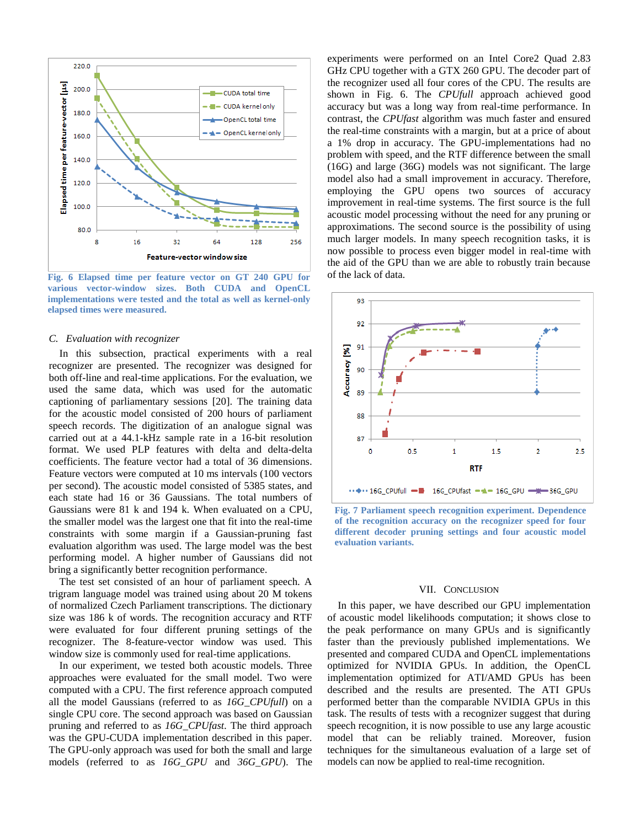

**Fig. 6 Elapsed time per feature vector on GT 240 GPU for various vector-window sizes. Both CUDA and OpenCL implementations were tested and the total as well as kernel-only elapsed times were measured.**

#### *C. Evaluation with recognizer*

In this subsection, practical experiments with a real recognizer are presented. The recognizer was designed for both off-line and real-time applications. For the evaluation, we used the same data, which was used for the automatic captioning of parliamentary sessions [20]. The training data for the acoustic model consisted of 200 hours of parliament speech records. The digitization of an analogue signal was carried out at a 44.1-kHz sample rate in a 16-bit resolution format. We used PLP features with delta and delta-delta coefficients. The feature vector had a total of 36 dimensions. Feature vectors were computed at 10 ms intervals (100 vectors per second). The acoustic model consisted of 5385 states, and each state had 16 or 36 Gaussians. The total numbers of Gaussians were 81 k and 194 k. When evaluated on a CPU, the smaller model was the largest one that fit into the real-time constraints with some margin if a Gaussian-pruning fast evaluation algorithm was used. The large model was the best performing model. A higher number of Gaussians did not bring a significantly better recognition performance.

The test set consisted of an hour of parliament speech. A trigram language model was trained using about 20 M tokens of normalized Czech Parliament transcriptions. The dictionary size was 186 k of words. The recognition accuracy and RTF were evaluated for four different pruning settings of the recognizer. The 8-feature-vector window was used. This window size is commonly used for real-time applications.

In our experiment, we tested both acoustic models. Three approaches were evaluated for the small model. Two were computed with a CPU. The first reference approach computed all the model Gaussians (referred to as *16G\_CPUfull*) on a single CPU core. The second approach was based on Gaussian pruning and referred to as *16G\_CPUfast*. The third approach was the GPU-CUDA implementation described in this paper. The GPU-only approach was used for both the small and large models (referred to as *16G\_GPU* and *36G\_GPU*). The

experiments were performed on an Intel Core2 Quad 2.83 GHz CPU together with a GTX 260 GPU. The decoder part of the recognizer used all four cores of the CPU. The results are shown in Fig. 6. The *CPUfull* approach achieved good accuracy but was a long way from real-time performance. In contrast, the *CPUfast* algorithm was much faster and ensured the real-time constraints with a margin, but at a price of about a 1% drop in accuracy. The GPU-implementations had no problem with speed, and the RTF difference between the small (16G) and large (36G) models was not significant. The large model also had a small improvement in accuracy. Therefore, employing the GPU opens two sources of accuracy improvement in real-time systems. The first source is the full acoustic model processing without the need for any pruning or approximations. The second source is the possibility of using much larger models. In many speech recognition tasks, it is now possible to process even bigger model in real-time with the aid of the GPU than we are able to robustly train because of the lack of data.



**Fig. 7 Parliament speech recognition experiment. Dependence of the recognition accuracy on the recognizer speed for four different decoder pruning settings and four acoustic model evaluation variants.**

#### VII. CONCLUSION

In this paper, we have described our GPU implementation of acoustic model likelihoods computation; it shows close to the peak performance on many GPUs and is significantly faster than the previously published implementations. We presented and compared CUDA and OpenCL implementations optimized for NVIDIA GPUs. In addition, the OpenCL implementation optimized for ATI/AMD GPUs has been described and the results are presented. The ATI GPUs performed better than the comparable NVIDIA GPUs in this task. The results of tests with a recognizer suggest that during speech recognition, it is now possible to use any large acoustic model that can be reliably trained. Moreover, fusion techniques for the simultaneous evaluation of a large set of models can now be applied to real-time recognition.